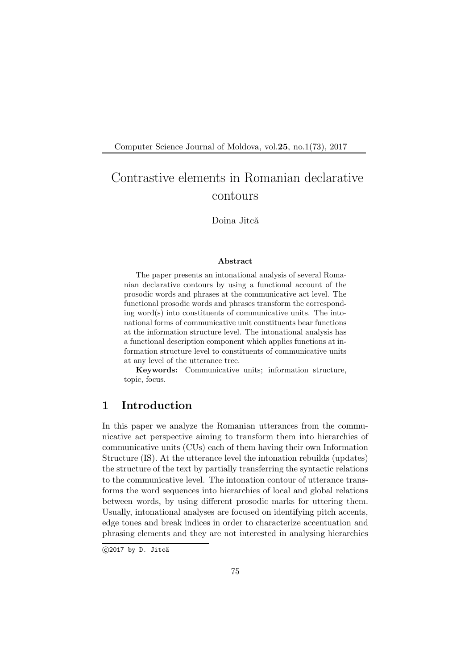Computer Science Journal of Moldova, vol.25, no.1(73), 2017

# Contrastive elements in Romanian declarative contours

Doina Jitcă

#### Abstract

The paper presents an intonational analysis of several Romanian declarative contours by using a functional account of the prosodic words and phrases at the communicative act level. The functional prosodic words and phrases transform the corresponding word(s) into constituents of communicative units. The intonational forms of communicative unit constituents bear functions at the information structure level. The intonational analysis has a functional description component which applies functions at information structure level to constituents of communicative units at any level of the utterance tree.

Keywords: Communicative units; information structure, topic, focus.

## 1 Introduction

In this paper we analyze the Romanian utterances from the communicative act perspective aiming to transform them into hierarchies of communicative units (CUs) each of them having their own Information Structure (IS). At the utterance level the intonation rebuilds (updates) the structure of the text by partially transferring the syntactic relations to the communicative level. The intonation contour of utterance transforms the word sequences into hierarchies of local and global relations between words, by using different prosodic marks for uttering them. Usually, intonational analyses are focused on identifying pitch accents, edge tones and break indices in order to characterize accentuation and phrasing elements and they are not interested in analysing hierarchies

 $C$ 2017 by D. Jitcă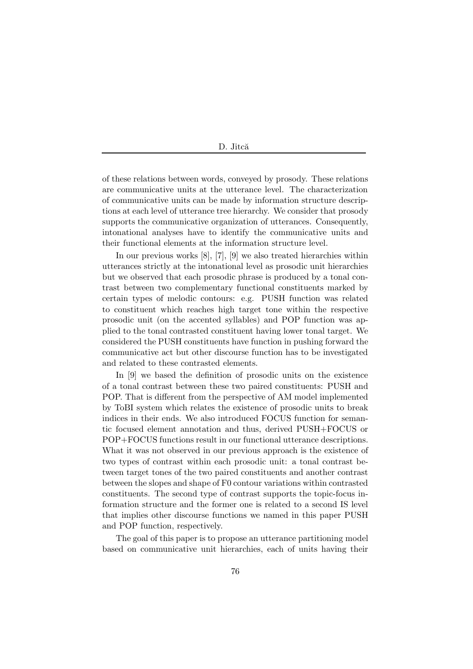of these relations between words, conveyed by prosody. These relations are communicative units at the utterance level. The characterization of communicative units can be made by information structure descriptions at each level of utterance tree hierarchy. We consider that prosody supports the communicative organization of utterances. Consequently, intonational analyses have to identify the communicative units and their functional elements at the information structure level.

In our previous works [8], [7], [9] we also treated hierarchies within utterances strictly at the intonational level as prosodic unit hierarchies but we observed that each prosodic phrase is produced by a tonal contrast between two complementary functional constituents marked by certain types of melodic contours: e.g. PUSH function was related to constituent which reaches high target tone within the respective prosodic unit (on the accented syllables) and POP function was applied to the tonal contrasted constituent having lower tonal target. We considered the PUSH constituents have function in pushing forward the communicative act but other discourse function has to be investigated and related to these contrasted elements.

In [9] we based the definition of prosodic units on the existence of a tonal contrast between these two paired constituents: PUSH and POP. That is different from the perspective of AM model implemented by ToBI system which relates the existence of prosodic units to break indices in their ends. We also introduced FOCUS function for semantic focused element annotation and thus, derived PUSH+FOCUS or POP+FOCUS functions result in our functional utterance descriptions. What it was not observed in our previous approach is the existence of two types of contrast within each prosodic unit: a tonal contrast between target tones of the two paired constituents and another contrast between the slopes and shape of F0 contour variations within contrasted constituents. The second type of contrast supports the topic-focus information structure and the former one is related to a second IS level that implies other discourse functions we named in this paper PUSH and POP function, respectively.

The goal of this paper is to propose an utterance partitioning model based on communicative unit hierarchies, each of units having their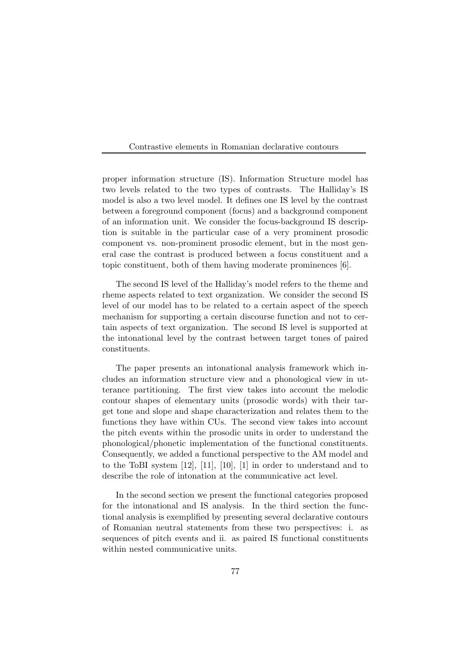proper information structure (IS). Information Structure model has two levels related to the two types of contrasts. The Halliday's IS model is also a two level model. It defines one IS level by the contrast between a foreground component (focus) and a background component of an information unit. We consider the focus-background IS description is suitable in the particular case of a very prominent prosodic component vs. non-prominent prosodic element, but in the most general case the contrast is produced between a focus constituent and a topic constituent, both of them having moderate prominences [6].

The second IS level of the Halliday's model refers to the theme and rheme aspects related to text organization. We consider the second IS level of our model has to be related to a certain aspect of the speech mechanism for supporting a certain discourse function and not to certain aspects of text organization. The second IS level is supported at the intonational level by the contrast between target tones of paired constituents.

The paper presents an intonational analysis framework which includes an information structure view and a phonological view in utterance partitioning. The first view takes into account the melodic contour shapes of elementary units (prosodic words) with their target tone and slope and shape characterization and relates them to the functions they have within CUs. The second view takes into account the pitch events within the prosodic units in order to understand the phonological/phonetic implementation of the functional constituents. Consequently, we added a functional perspective to the AM model and to the ToBI system [12], [11], [10], [1] in order to understand and to describe the role of intonation at the communicative act level.

In the second section we present the functional categories proposed for the intonational and IS analysis. In the third section the functional analysis is exemplified by presenting several declarative contours of Romanian neutral statements from these two perspectives: i. as sequences of pitch events and ii. as paired IS functional constituents within nested communicative units.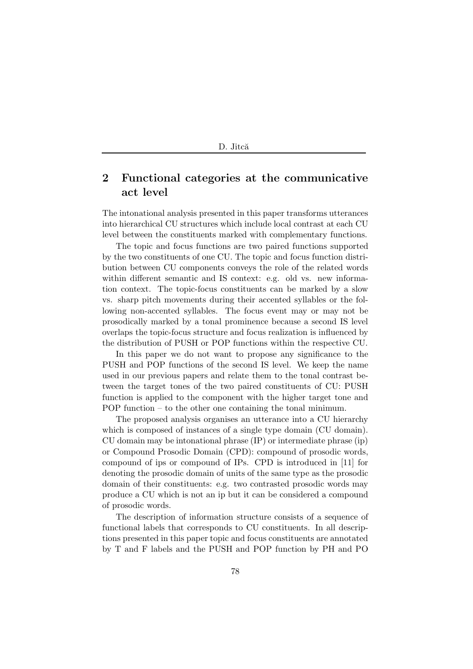## 2 Functional categories at the communicative act level

The intonational analysis presented in this paper transforms utterances into hierarchical CU structures which include local contrast at each CU level between the constituents marked with complementary functions.

The topic and focus functions are two paired functions supported by the two constituents of one CU. The topic and focus function distribution between CU components conveys the role of the related words within different semantic and IS context: e.g. old vs. new information context. The topic-focus constituents can be marked by a slow vs. sharp pitch movements during their accented syllables or the following non-accented syllables. The focus event may or may not be prosodically marked by a tonal prominence because a second IS level overlaps the topic-focus structure and focus realization is influenced by the distribution of PUSH or POP functions within the respective CU.

In this paper we do not want to propose any significance to the PUSH and POP functions of the second IS level. We keep the name used in our previous papers and relate them to the tonal contrast between the target tones of the two paired constituents of CU: PUSH function is applied to the component with the higher target tone and POP function – to the other one containing the tonal minimum.

The proposed analysis organises an utterance into a CU hierarchy which is composed of instances of a single type domain (CU domain). CU domain may be intonational phrase (IP) or intermediate phrase (ip) or Compound Prosodic Domain (CPD): compound of prosodic words, compound of ips or compound of IPs. CPD is introduced in [11] for denoting the prosodic domain of units of the same type as the prosodic domain of their constituents: e.g. two contrasted prosodic words may produce a CU which is not an ip but it can be considered a compound of prosodic words.

The description of information structure consists of a sequence of functional labels that corresponds to CU constituents. In all descriptions presented in this paper topic and focus constituents are annotated by T and F labels and the PUSH and POP function by PH and PO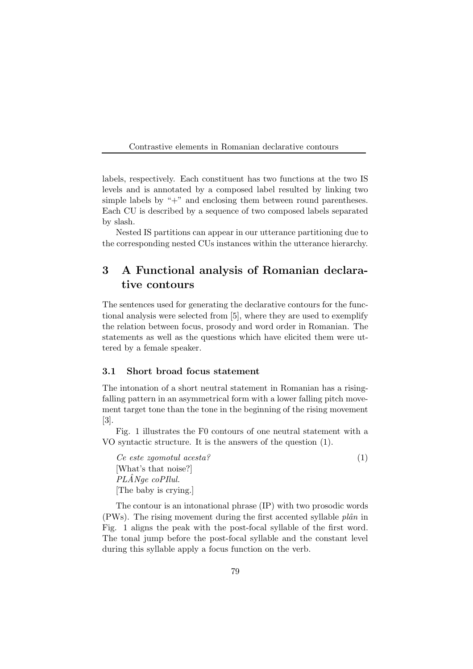labels, respectively. Each constituent has two functions at the two IS levels and is annotated by a composed label resulted by linking two simple labels by " $+$ " and enclosing them between round parentheses. Each CU is described by a sequence of two composed labels separated by slash.

Nested IS partitions can appear in our utterance partitioning due to the corresponding nested CUs instances within the utterance hierarchy.

## 3 A Functional analysis of Romanian declarative contours

The sentences used for generating the declarative contours for the functional analysis were selected from [5], where they are used to exemplify the relation between focus, prosody and word order in Romanian. The statements as well as the questions which have elicited them were uttered by a female speaker.

### 3.1 Short broad focus statement

The intonation of a short neutral statement in Romanian has a risingfalling pattern in an asymmetrical form with a lower falling pitch movement target tone than the tone in the beginning of the rising movement [3].

Fig. 1 illustrates the F0 contours of one neutral statement with a VO syntactic structure. It is the answers of the question (1).

*Ce este zgomotul acesta?* (1) [What's that noise?] *PLANge coPIlul. ˆ* [The baby is crying.]

The contour is an intonational phrase (IP) with two prosodic words (PWs). The rising movement during the first accented syllable  $plân$  in Fig. 1 aligns the peak with the post-focal syllable of the first word. The tonal jump before the post-focal syllable and the constant level during this syllable apply a focus function on the verb.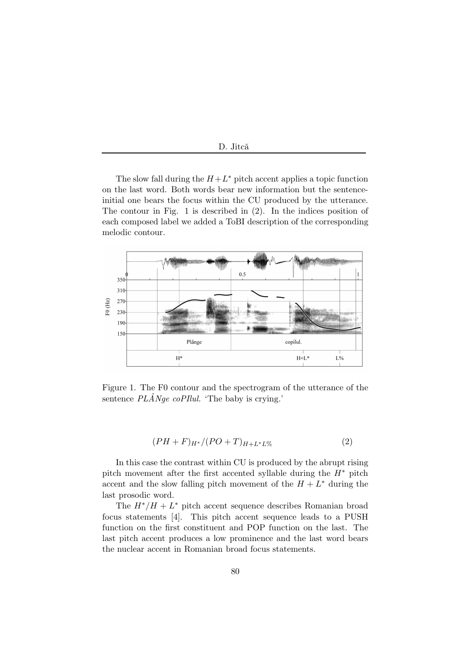| Jitcă. |  |
|--------|--|
|        |  |

The slow fall during the  $H + L^*$  pitch accent applies a topic function on the last word. Both words bear new information but the sentenceinitial one bears the focus within the CU produced by the utterance. The contour in Fig. 1 is described in (2). In the indices position of each composed label we added a ToBI description of the corresponding melodic contour.



Figure 1. The F0 contour and the spectrogram of the utterance of the sentence  $PL\hat{A}Nge$  *coPIlul. ´*The baby is crying.'

$$
(PH + F)_{H^*}/(PO + T)_{H + L^*L\%} \tag{2}
$$

In this case the contrast within CU is produced by the abrupt rising pitch movement after the first accented syllable during the  $H^*$  pitch accent and the slow falling pitch movement of the  $H + L^*$  during the last prosodic word.

The  $H^*/H + L^*$  pitch accent sequence describes Romanian broad focus statements [4]. This pitch accent sequence leads to a PUSH function on the first constituent and POP function on the last. The last pitch accent produces a low prominence and the last word bears the nuclear accent in Romanian broad focus statements.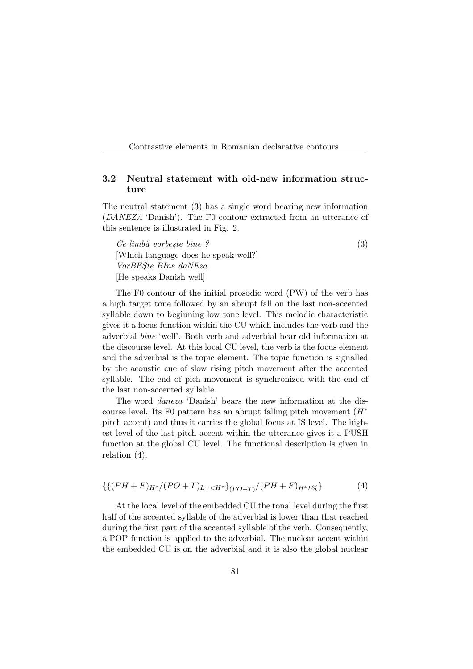### 3.2 Neutral statement with old-new information structure

The neutral statement (3) has a single word bearing new information (*DANEZA* 'Danish'). The F0 contour extracted from an utterance of this sentence is illustrated in Fig. 2.

*Ce limb˘a vorbe¸ste bine ?* (3) [Which language does he speak well?] *VorBES¸te BIne daNEza.* [He speaks Danish well]

The F0 contour of the initial prosodic word (PW) of the verb has a high target tone followed by an abrupt fall on the last non-accented syllable down to beginning low tone level. This melodic characteristic gives it a focus function within the CU which includes the verb and the adverbial *bine* 'well'. Both verb and adverbial bear old information at the discourse level. At this local CU level, the verb is the focus element and the adverbial is the topic element. The topic function is signalled by the acoustic cue of slow rising pitch movement after the accented syllable. The end of pich movement is synchronized with the end of the last non-accented syllable.

The word *daneza* 'Danish' bears the new information at the discourse level. Its F0 pattern has an abrupt falling pitch movement  $(H^*)$ pitch accent) and thus it carries the global focus at IS level. The highest level of the last pitch accent within the utterance gives it a PUSH function at the global CU level. The functional description is given in relation (4).

$$
\{\{(PH+F)_{H^*}/(PO+T)_{L+
$$

At the local level of the embedded CU the tonal level during the first half of the accented syllable of the adverbial is lower than that reached during the first part of the accented syllable of the verb. Consequently, a POP function is applied to the adverbial. The nuclear accent within the embedded CU is on the adverbial and it is also the global nuclear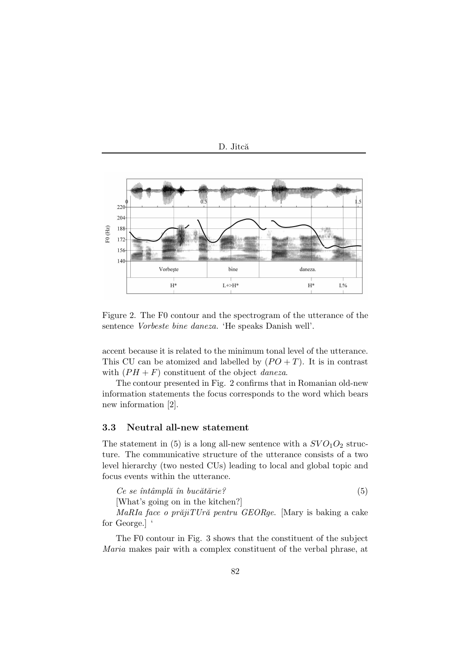

Figure 2. The F0 contour and the spectrogram of the utterance of the sentence *Vorbeste bine daneza.* 'He speaks Danish well'.

accent because it is related to the minimum tonal level of the utterance. This CU can be atomized and labelled by  $(PO + T)$ . It is in contrast with  $(PH + F)$  constituent of the object *daneza*.

The contour presented in Fig. 2 confirms that in Romanian old-new information statements the focus corresponds to the word which bears new information [2].

#### 3.3 Neutral all-new statement

The statement in (5) is a long all-new sentence with a  $SVO<sub>1</sub>O<sub>2</sub>$  structure. The communicative structure of the utterance consists of a two level hierarchy (two nested CUs) leading to local and global topic and focus events within the utterance.

| Ce se întâmplă în bucătărie?      |  |
|-----------------------------------|--|
| [What's going on in the kitchen?] |  |

*MaRIa face o prăjiTUră pentru GEORge*. [Mary is baking a cake for George.] '

The F0 contour in Fig. 3 shows that the constituent of the subject *Maria* makes pair with a complex constituent of the verbal phrase, at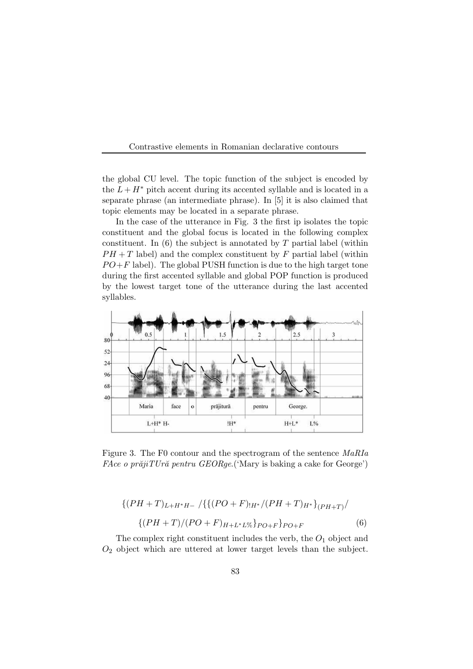

the global CU level. The topic function of the subject is encoded by the  $L + H^*$  pitch accent during its accented syllable and is located in a separate phrase (an intermediate phrase). In [5] it is also claimed that topic elements may be located in a separate phrase.

In the case of the utterance in Fig. 3 the first ip isolates the topic constituent and the global focus is located in the following complex constituent. In  $(6)$  the subject is annotated by T partial label (within  $PH+T$  label) and the complex constituent by F partial label (within  $PO + F$  label). The global PUSH function is due to the high target tone during the first accented syllable and global POP function is produced by the lowest target tone of the utterance during the last accented syllables.



Figure 3. The F0 contour and the spectrogram of the sentence *MaRIa FAce o prăjiTUră pentru GEORge*.('Mary is baking a cake for George')

$$
\{(PH+T)_{L+H^*H-}/\{\{(PO+F)_{H^*}/(PH+T)_{H^*}\}_{(PH+T)}/\}\
$$

$$
\{(PH+T)/(PO+F)_{H+L^*L\%}\}_{PO+F}\}_{PO+F}
$$
(6)

The complex right constituent includes the verb, the  $O_1$  object and  $O<sub>2</sub>$  object which are uttered at lower target levels than the subject.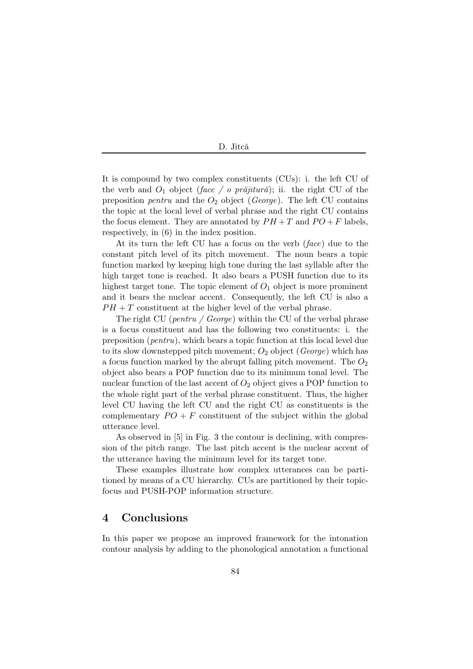It is compound by two complex constituents (CUs): i. the left CU of the verb and  $O_1$  object (*face / o prajitura*); ii. the right CU of the preposition *pentru* and the O<sup>2</sup> object (*George*). The left CU contains the topic at the local level of verbal phrase and the right CU contains the focus element. They are annotated by  $PH+T$  and  $PO+F$  labels, respectively, in (6) in the index position.

At its turn the left CU has a focus on the verb (*face*) due to the constant pitch level of its pitch movement. The noun bears a topic function marked by keeping high tone during the last syllable after the high target tone is reached. It also bears a PUSH function due to its highest target tone. The topic element of  $O_1$  object is more prominent and it bears the nuclear accent. Consequently, the left CU is also a  $PH + T$  constituent at the higher level of the verbal phrase.

The right CU (*pentru / George*) within the CU of the verbal phrase is a focus constituent and has the following two constituents: i. the preposition (*pentru*), which bears a topic function at this local level due to its slow downstepped pitch movement; O<sup>2</sup> object (*George*) which has a focus function marked by the abrupt falling pitch movement. The  $O_2$ object also bears a POP function due to its minimum tonal level. The nuclear function of the last accent of  $O_2$  object gives a POP function to the whole right part of the verbal phrase constituent. Thus, the higher level CU having the left CU and the right CU as constituents is the complementary  $PO + F$  constituent of the subject within the global utterance level.

As observed in [5] in Fig. 3 the contour is declining, with compression of the pitch range. The last pitch accent is the nuclear accent of the utterance having the minimum level for its target tone.

These examples illustrate how complex utterances can be partitioned by means of a CU hierarchy. CUs are partitioned by their topicfocus and PUSH-POP information structure.

### 4 Conclusions

In this paper we propose an improved framework for the intonation contour analysis by adding to the phonological annotation a functional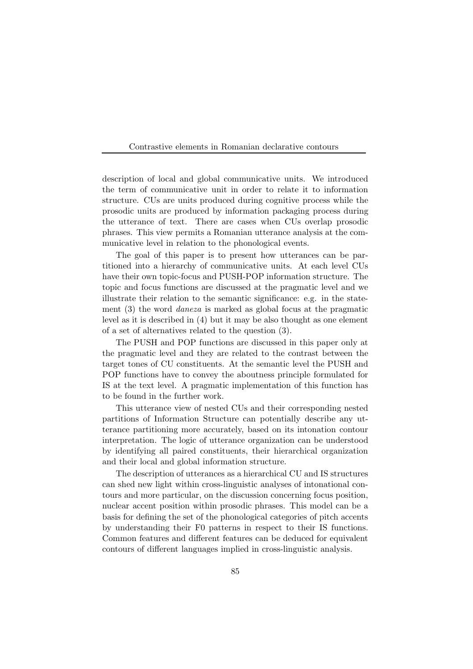description of local and global communicative units. We introduced the term of communicative unit in order to relate it to information structure. CUs are units produced during cognitive process while the prosodic units are produced by information packaging process during the utterance of text. There are cases when CUs overlap prosodic phrases. This view permits a Romanian utterance analysis at the communicative level in relation to the phonological events.

The goal of this paper is to present how utterances can be partitioned into a hierarchy of communicative units. At each level CUs have their own topic-focus and PUSH-POP information structure. The topic and focus functions are discussed at the pragmatic level and we illustrate their relation to the semantic significance: e.g. in the statement (3) the word *daneza* is marked as global focus at the pragmatic level as it is described in (4) but it may be also thought as one element of a set of alternatives related to the question (3).

The PUSH and POP functions are discussed in this paper only at the pragmatic level and they are related to the contrast between the target tones of CU constituents. At the semantic level the PUSH and POP functions have to convey the aboutness principle formulated for IS at the text level. A pragmatic implementation of this function has to be found in the further work.

This utterance view of nested CUs and their corresponding nested partitions of Information Structure can potentially describe any utterance partitioning more accurately, based on its intonation contour interpretation. The logic of utterance organization can be understood by identifying all paired constituents, their hierarchical organization and their local and global information structure.

The description of utterances as a hierarchical CU and IS structures can shed new light within cross-linguistic analyses of intonational contours and more particular, on the discussion concerning focus position, nuclear accent position within prosodic phrases. This model can be a basis for defining the set of the phonological categories of pitch accents by understanding their F0 patterns in respect to their IS functions. Common features and different features can be deduced for equivalent contours of different languages implied in cross-linguistic analysis.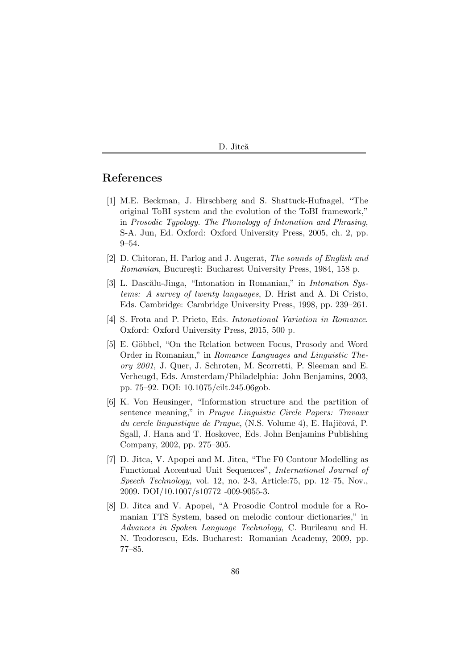## References

- [1] M.E. Beckman, J. Hirschberg and S. Shattuck-Hufnagel, "The original ToBI system and the evolution of the ToBI framework," in *Prosodic Typology. The Phonology of Intonation and Phrasing*, S-A. Jun, Ed. Oxford: Oxford University Press, 2005, ch. 2, pp. 9–54.
- [2] D. Chitoran, H. Parlog and J. Augerat, *The sounds of English and Romanian*, București: Bucharest University Press, 1984, 158 p.
- [3] L. Dascălu-Jinga, "Intonation in Romanian," in *Intonation Systems: A survey of twenty languages*, D. Hrist and A. Di Cristo, Eds. Cambridge: Cambridge University Press, 1998, pp. 239–261.
- [4] S. Frota and P. Prieto, Eds. *Intonational Variation in Romance*. Oxford: Oxford University Press, 2015, 500 p.
- [5] E. Göbbel, "On the Relation between Focus, Prosody and Word Order in Romanian," in *Romance Languages and Linguistic Theory 2001*, J. Quer, J. Schroten, M. Scorretti, P. Sleeman and E. Verheugd, Eds. Amsterdam/Philadelphia: John Benjamins, 2003, pp. 75–92. DOI: 10.1075/cilt.245.06gob.
- [6] K. Von Heusinger, "Information structure and the partition of sentence meaning," in *Prague Linguistic Circle Papers: Travaux du cercle linguistique de Prague*, (N.S. Volume 4), E. Hajičová, P. Sgall, J. Hana and T. Hoskovec, Eds. John Benjamins Publishing Company, 2002, pp. 275–305.
- [7] D. Jitca, V. Apopei and M. Jitca, "The F0 Contour Modelling as Functional Accentual Unit Sequences", *International Journal of Speech Technology*, vol. 12, no. 2-3, Article:75, pp. 12–75, Nov., 2009. DOI/10.1007/s10772 -009-9055-3.
- [8] D. Jitca and V. Apopei, "A Prosodic Control module for a Romanian TTS System, based on melodic contour dictionaries," in *Advances in Spoken Language Technology*, C. Burileanu and H. N. Teodorescu, Eds. Bucharest: Romanian Academy, 2009, pp. 77–85.